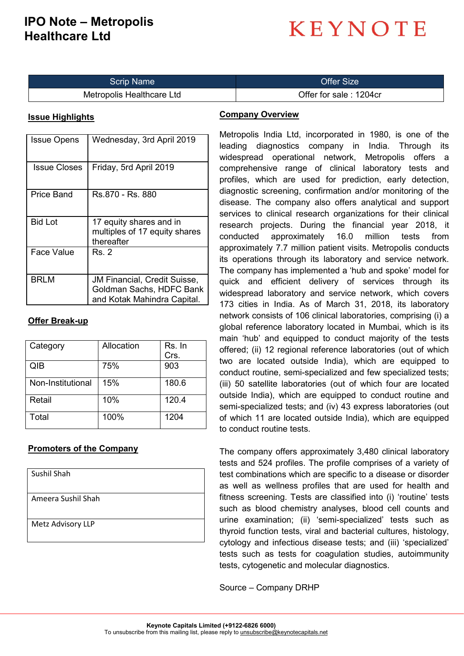### **IPO Note – Metropolis Healthcare Ltd**

# **KEYNOTE**

| <b>Scrip Name</b>         | Offer Size             |
|---------------------------|------------------------|
| Metropolis Healthcare Ltd | Offer for sale: 1204cr |

#### **Issue Highlights**

| <b>Issue Opens</b> | Wednesday, 3rd April 2019                                                                      |
|--------------------|------------------------------------------------------------------------------------------------|
| Issue Closes       | Friday, 5rd April 2019                                                                         |
| Price Band         | Rs.870 - Rs. 880                                                                               |
| <b>Bid Lot</b>     | 17 equity shares and in<br>multiples of 17 equity shares<br>thereafter                         |
| <b>Face Value</b>  | Rs. 2                                                                                          |
| <b>BRLM</b>        | <b>JM Financial, Credit Suisse,</b><br>Goldman Sachs, HDFC Bank<br>and Kotak Mahindra Capital. |

#### **Offer Break-up**

| Category          | Allocation | Rs. In |
|-------------------|------------|--------|
|                   |            | Crs.   |
| QIB               | 75%        | 903    |
| Non-Institutional | 15%        | 180.6  |
| Retail            | 10%        | 120.4  |
| Total             | 100%       | 1204   |

#### **Promoters of the Company**

| Sushil Shah        |
|--------------------|
| Ameera Sushil Shah |
| Metz Advisory LLP  |

#### **Company Overview**

Metropolis India Ltd, incorporated in 1980, is one of the leading diagnostics company in India. Through its widespread operational network, Metropolis offers a comprehensive range of clinical laboratory tests and profiles, which are used for prediction, early detection, diagnostic screening, confirmation and/or monitoring of the disease. The company also offers analytical and support services to clinical research organizations for their clinical research projects. During the financial year 2018, it conducted approximately 16.0 million tests from approximately 7.7 million patient visits. Metropolis conducts its operations through its laboratory and service network. The company has implemented a 'hub and spoke' model for quick and efficient delivery of services through its widespread laboratory and service network, which covers 173 cities in India. As of March 31, 2018, its laboratory network consists of 106 clinical laboratories, comprising (i) a global reference laboratory located in Mumbai, which is its main 'hub' and equipped to conduct majority of the tests offered; (ii) 12 regional reference laboratories (out of which two are located outside India), which are equipped to conduct routine, semi-specialized and few specialized tests; (iii) 50 satellite laboratories (out of which four are located outside India), which are equipped to conduct routine and semi-specialized tests; and (iv) 43 express laboratories (out of which 11 are located outside India), which are equipped to conduct routine tests.

The company offers approximately 3,480 clinical laboratory tests and 524 profiles. The profile comprises of a variety of test combinations which are specific to a disease or disorder as well as wellness profiles that are used for health and fitness screening. Tests are classified into (i) 'routine' tests such as blood chemistry analyses, blood cell counts and urine examination; (ii) 'semi-specialized' tests such as thyroid function tests, viral and bacterial cultures, histology, cytology and infectious disease tests; and (iii) 'specialized' tests such as tests for coagulation studies, autoimmunity tests, cytogenetic and molecular diagnostics.

Source – Company DRHP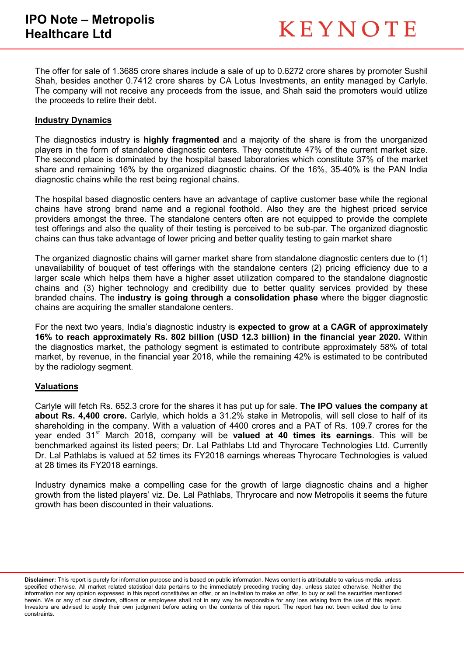The offer for sale of 1.3685 crore shares include a sale of up to 0.6272 crore shares by promoter Sushil Shah, besides another 0.7412 crore shares by CA Lotus Investments, an entity managed by Carlyle. The company will not receive any proceeds from the issue, and Shah said the promoters would utilize the proceeds to retire their debt.

#### **Industry Dynamics**

The diagnostics industry is **highly fragmented** and a majority of the share is from the unorganized players in the form of standalone diagnostic centers. They constitute 47% of the current market size. The second place is dominated by the hospital based laboratories which constitute 37% of the market share and remaining 16% by the organized diagnostic chains. Of the 16%, 35-40% is the PAN India diagnostic chains while the rest being regional chains.

The hospital based diagnostic centers have an advantage of captive customer base while the regional chains have strong brand name and a regional foothold. Also they are the highest priced service providers amongst the three. The standalone centers often are not equipped to provide the complete test offerings and also the quality of their testing is perceived to be sub-par. The organized diagnostic chains can thus take advantage of lower pricing and better quality testing to gain market share

The organized diagnostic chains will garner market share from standalone diagnostic centers due to (1) unavailability of bouquet of test offerings with the standalone centers (2) pricing efficiency due to a larger scale which helps them have a higher asset utilization compared to the standalone diagnostic chains and (3) higher technology and credibility due to better quality services provided by these branded chains. The **industry is going through a consolidation phase** where the bigger diagnostic chains are acquiring the smaller standalone centers.

For the next two years, India's diagnostic industry is **expected to grow at a CAGR of approximately 16% to reach approximately Rs. 802 billion (USD 12.3 billion) in the financial year 2020.** Within the diagnostics market, the pathology segment is estimated to contribute approximately 58% of total market, by revenue, in the financial year 2018, while the remaining 42% is estimated to be contributed by the radiology segment.

#### **Valuations**

Carlyle will fetch Rs. 652.3 crore for the shares it has put up for sale. **The IPO values the company at about Rs. 4,400 crore.** Carlyle, which holds a 31.2% stake in Metropolis, will sell close to half of its shareholding in the company. With a valuation of 4400 crores and a PAT of Rs. 109.7 crores for the year ended 31st March 2018, company will be **valued at 40 times its earnings**. This will be benchmarked against its listed peers; Dr. Lal Pathlabs Ltd and Thyrocare Technologies Ltd. Currently Dr. Lal Pathlabs is valued at 52 times its FY2018 earnings whereas Thyrocare Technologies is valued at 28 times its FY2018 earnings.

Industry dynamics make a compelling case for the growth of large diagnostic chains and a higher growth from the listed players' viz. De. Lal Pathlabs, Thryrocare and now Metropolis it seems the future growth has been discounted in their valuations.

**Disclaimer:** This report is purely for information purpose and is based on public information. News content is attributable to various media, unless specified otherwise. All market related statistical data pertains to the immediately preceding trading day, unless stated otherwise. Neither the information nor any opinion expressed in this report constitutes an offer, or an invitation to make an offer, to buy or sell the securities mentioned herein. We or any of our directors, officers or employees shall not in any way be responsible for any loss arising from the use of this report. Investors are advised to apply their own judgment before acting on the contents of this report. The report has not been edited due to time constraints.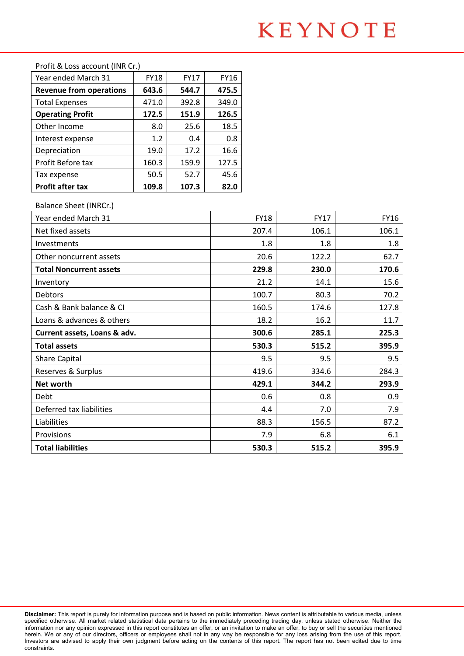## **KEYNOTE**

| Profit after tax               | 109.8       | 107.3       | 82.0        |
|--------------------------------|-------------|-------------|-------------|
| Tax expense                    | 50.5        | 52.7        | 45.6        |
| Profit Before tax              | 160.3       | 159.9       | 127.5       |
| Depreciation                   | 19.0        | 17.2        | 16.6        |
| Interest expense               | 1.2         | 0.4         | 0.8         |
| Other Income                   | 8.0         | 25.6        | 18.5        |
| <b>Operating Profit</b>        | 172.5       | 151.9       | 126.5       |
| <b>Total Expenses</b>          | 471.0       | 392.8       | 349.0       |
| <b>Revenue from operations</b> | 643.6       | 544.7       | 475.5       |
| Year ended March 31            | <b>FY18</b> | <b>FY17</b> | <b>FY16</b> |
| FTOIR & LOSS account (INN CL.) |             |             |             |

#### $Profit + 8.1$  occ. account  $(IMD Cr)$

#### Balance Sheet (INRCr.)

| Year ended March 31            | <b>FY18</b> | <b>FY17</b> | <b>FY16</b> |
|--------------------------------|-------------|-------------|-------------|
| Net fixed assets               | 207.4       | 106.1       | 106.1       |
| Investments                    | 1.8         | 1.8         | 1.8         |
| Other noncurrent assets        | 20.6        | 122.2       | 62.7        |
| <b>Total Noncurrent assets</b> | 229.8       | 230.0       | 170.6       |
| Inventory                      | 21.2        | 14.1        | 15.6        |
| <b>Debtors</b>                 | 100.7       | 80.3        | 70.2        |
| Cash & Bank balance & CI       | 160.5       | 174.6       | 127.8       |
| Loans & advances & others      | 18.2        | 16.2        | 11.7        |
| Current assets, Loans & adv.   | 300.6       | 285.1       | 225.3       |
| <b>Total assets</b>            | 530.3       | 515.2       | 395.9       |
| <b>Share Capital</b>           | 9.5         | 9.5         | 9.5         |
| Reserves & Surplus             | 419.6       | 334.6       | 284.3       |
| Net worth                      | 429.1       | 344.2       | 293.9       |
| Debt                           | 0.6         | 0.8         | 0.9         |
| Deferred tax liabilities       | 4.4         | 7.0         | 7.9         |
| Liabilities                    | 88.3        | 156.5       | 87.2        |
| Provisions                     | 7.9         | 6.8         | 6.1         |
| <b>Total liabilities</b>       | 530.3       | 515.2       | 395.9       |

**Disclaimer:** This report is purely for information purpose and is based on public information. News content is attributable to various media, unless specified otherwise. All market related statistical data pertains to the immediately preceding trading day, unless stated otherwise. Neither the information nor any opinion expressed in this report constitutes an offer, or an invitation to make an offer, to buy or sell the securities mentioned herein. We or any of our directors, officers or employees shall not in any way be responsible for any loss arising from the use of this report. Investors are advised to apply their own judgment before acting on the contents of this report. The report has not been edited due to time constraints.